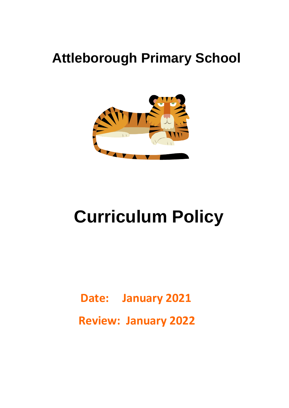# **Attleborough Primary School**



# **Curriculum Policy**

 **Date: January 2021 Review: January 2022**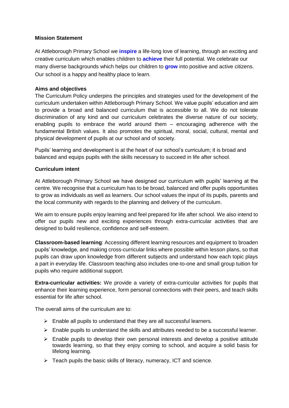#### **Mission Statement**

At Attleborough Primary School we **inspire** a life-long love of learning, through an exciting and creative curriculum which enables children to **achieve** their full potential. We celebrate our many diverse backgrounds which helps our children to **grow** into positive and active citizens. Our school is a happy and healthy place to learn.

#### **Aims and objectives**

The Curriculum Policy underpins the principles and strategies used for the development of the curriculum undertaken within Attleborough Primary School. We value pupils' education and aim to provide a broad and balanced curriculum that is accessible to all. We do not tolerate discrimination of any kind and our curriculum celebrates the diverse nature of our society, enabling pupils to embrace the world around them – encouraging adherence with the fundamental British values. It also promotes the spiritual, moral, social, cultural, mental and physical development of pupils at our school and of society.

Pupils' learning and development is at the heart of our school's curriculum; it is broad and balanced and equips pupils with the skills necessary to succeed in life after school.

#### **Curriculum intent**

At Attleborough Primary School we have designed our curriculum with pupils' learning at the centre. We recognise that a curriculum has to be broad, balanced and offer pupils opportunities to grow as individuals as well as learners. Our school values the input of its pupils, parents and the local community with regards to the planning and delivery of the curriculum.

We aim to ensure pupils enjoy learning and feel prepared for life after school. We also intend to offer our pupils new and exciting experiences through extra-curricular activities that are designed to build resilience, confidence and self-esteem.

**Classroom-based learning**: Accessing different learning resources and equipment to broaden pupils' knowledge, and making cross-curricular links where possible within lesson plans, so that pupils can draw upon knowledge from different subjects and understand how each topic plays a part in everyday life. Classroom teaching also includes one-to-one and small group tuition for pupils who require additional support.

**Extra-curricular activities:** We provide a variety of extra-curricular activities for pupils that enhance their learning experience, form personal connections with their peers, and teach skills essential for life after school.

The overall aims of the curriculum are to:

- $\triangleright$  Enable all pupils to understand that they are all successful learners.
- $\triangleright$  Enable pupils to understand the skills and attributes needed to be a successful learner.
- $\triangleright$  Enable pupils to develop their own personal interests and develop a positive attitude towards learning, so that they enjoy coming to school, and acquire a solid basis for lifelong learning.
- $\triangleright$  Teach pupils the basic skills of literacy, numeracy, ICT and science,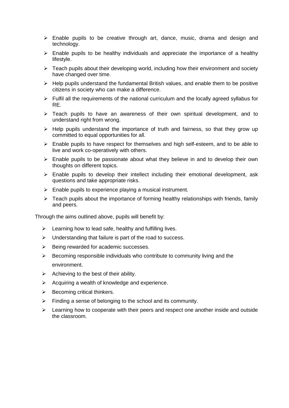- $\triangleright$  Enable pupils to be creative through art, dance, music, drama and design and technology.
- $\triangleright$  Enable pupils to be healthy individuals and appreciate the importance of a healthy lifestyle.
- $\triangleright$  Teach pupils about their developing world, including how their environment and society have changed over time.
- $\triangleright$  Help pupils understand the fundamental British values, and enable them to be positive citizens in society who can make a difference.
- $\triangleright$  Fulfil all the requirements of the national curriculum and the locally agreed syllabus for RE.
- Feach pupils to have an awareness of their own spiritual development, and to understand right from wrong.
- $\triangleright$  Help pupils understand the importance of truth and fairness, so that they grow up committed to equal opportunities for all.
- $\triangleright$  Enable pupils to have respect for themselves and high self-esteem, and to be able to live and work co-operatively with others.
- $\triangleright$  Enable pupils to be passionate about what they believe in and to develop their own thoughts on different topics.
- $\triangleright$  Enable pupils to develop their intellect including their emotional development, ask questions and take appropriate risks.
- $\triangleright$  Enable pupils to experience playing a musical instrument.
- $\triangleright$  Teach pupils about the importance of forming healthy relationships with friends, family and peers.

Through the aims outlined above, pupils will benefit by:

- $\triangleright$  Learning how to lead safe, healthy and fulfilling lives.
- $\triangleright$  Understanding that failure is part of the road to success.
- $\triangleright$  Being rewarded for academic successes.
- $\triangleright$  Becoming responsible individuals who contribute to community living and the environment.
- $\triangleright$  Achieving to the best of their ability.
- $\triangleright$  Acquiring a wealth of knowledge and experience.
- $\triangleright$  Becoming critical thinkers.
- $\triangleright$  Finding a sense of belonging to the school and its community.
- $\triangleright$  Learning how to cooperate with their peers and respect one another inside and outside the classroom.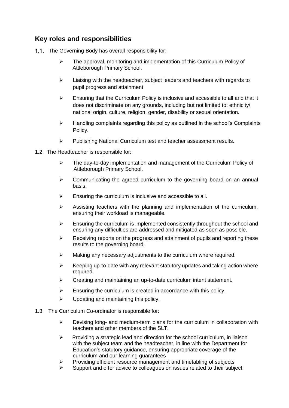# **Key roles and responsibilities**

- 1.1. The Governing Body has overall responsibility for:
	- $\triangleright$  The approval, monitoring and implementation of this Curriculum Policy of Attleborough Primary School.
	- $\triangleright$  Liaising with the headteacher, subject leaders and teachers with regards to pupil progress and attainment
	- $\triangleright$  Ensuring that the Curriculum Policy is inclusive and accessible to all and that it does not discriminate on any grounds, including but not limited to: ethnicity/ national origin, culture, religion, gender, disability or sexual orientation.
	- $\triangleright$  Handling complaints regarding this policy as outlined in the school's Complaints Policy.
	- Publishing National Curriculum test and teacher assessment results.
- 1.2 The Headteacher is responsible for:
	- $\triangleright$  The day-to-day implementation and management of the Curriculum Policy of Attleborough Primary School.
	- $\triangleright$  Communicating the agreed curriculum to the governing board on an annual basis.
	- $\triangleright$  Ensuring the curriculum is inclusive and accessible to all.
	- $\triangleright$  Assisting teachers with the planning and implementation of the curriculum, ensuring their workload is manageable.
	- $\triangleright$  Ensuring the curriculum is implemented consistently throughout the school and ensuring any difficulties are addressed and mitigated as soon as possible.
	- $\triangleright$  Receiving reports on the progress and attainment of pupils and reporting these results to the governing board.
	- $\triangleright$  Making any necessary adjustments to the curriculum where required.
	- $\triangleright$  Keeping up-to-date with any relevant statutory updates and taking action where required.
	- $\triangleright$  Creating and maintaining an up-to-date curriculum intent statement.
	- $\triangleright$  Ensuring the curriculum is created in accordance with this policy.
	- $\triangleright$  Updating and maintaining this policy.
- 1.3 The Curriculum Co-ordinator is responsible for:
	- $\triangleright$  Devising long- and medium-term plans for the curriculum in collaboration with teachers and other members of the SLT.
	- $\triangleright$  Providing a strategic lead and direction for the school curriculum, in liaison with the subject team and the headteacher, in line with the Department for Education's statutory guidance, ensuring appropriate coverage of the curriculum and our learning guarantees
	- Providing efficient resource management and timetabling of subjects
	- Support and offer advice to colleagues on issues related to their subject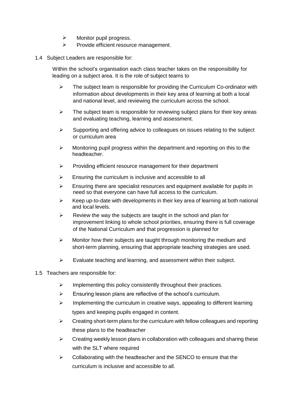- $\triangleright$  Monitor pupil progress.
- $\triangleright$  Provide efficient resource management.

#### 1.4 Subject Leaders are responsible for:

Within the school's organisation each class teacher takes on the responsibility for leading on a subject area. It is the role of subject teams to

- $\triangleright$  The subject team is responsible for providing the Curriculum Co-ordinator with information about developments in their key area of learning at both a local and national level, and reviewing the curriculum across the school.
- $\triangleright$  The subject team is responsible for reviewing subject plans for their key areas and evaluating teaching, learning and assessment.
- $\triangleright$  Supporting and offering advice to colleagues on issues relating to the subject or curriculum area
- $\triangleright$  Monitoring pupil progress within the department and reporting on this to the headteacher.
- $\triangleright$  Providing efficient resource management for their department
- $\triangleright$  Ensuring the curriculum is inclusive and accessible to all
- $\triangleright$  Ensuring there are specialist resources and equipment available for pupils in need so that everyone can have full access to the curriculum.
- $\triangleright$  Keep up-to-date with developments in their key area of learning at both national and local levels.
- $\triangleright$  Review the way the subjects are taught in the school and plan for improvement linking to whole school priorities, ensuring there is full coverage of the National Curriculum and that progression is planned for
- $\triangleright$  Monitor how their subjects are taught through monitoring the medium and short-term planning, ensuring that appropriate teaching strategies are used.
- $\triangleright$  Evaluate teaching and learning, and assessment within their subject.

#### 1.5 Teachers are responsible for:

- $\triangleright$  Implementing this policy consistently throughout their practices.
- $\triangleright$  Ensuring lesson plans are reflective of the school's curriculum.
- $\triangleright$  Implementing the curriculum in creative ways, appealing to different learning types and keeping pupils engaged in content.
- $\triangleright$  Creating short-term plans for the curriculum with fellow colleagues and reporting these plans to the headteacher
- $\triangleright$  Creating weekly lesson plans in collaboration with colleagues and sharing these with the SLT where required
- $\triangleright$  Collaborating with the headteacher and the SENCO to ensure that the curriculum is inclusive and accessible to all.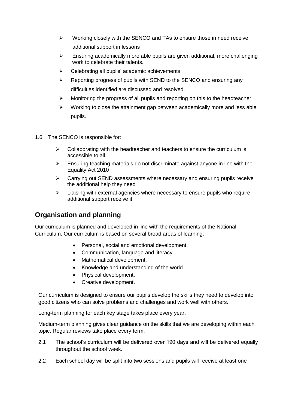- $\triangleright$  Working closely with the SENCO and TAs to ensure those in need receive additional support in lessons
- $\triangleright$  Ensuring academically more able pupils are given additional, more challenging work to celebrate their talents.
- $\triangleright$  Celebrating all pupils' academic achievements
- $\triangleright$  Reporting progress of pupils with SEND to the SENCO and ensuring any difficulties identified are discussed and resolved.
- $\triangleright$  Monitoring the progress of all pupils and reporting on this to the headteacher
- $\triangleright$  Working to close the attainment gap between academically more and less able pupils.
- 1.6 The SENCO is responsible for:
	- $\triangleright$  Collaborating with the headteacher and teachers to ensure the curriculum is accessible to all.
	- $\triangleright$  Ensuring teaching materials do not discriminate against anyone in line with the Equality Act 2010
	- $\triangleright$  Carrying out SEND assessments where necessary and ensuring pupils receive the additional help they need
	- $\triangleright$  Liaising with external agencies where necessary to ensure pupils who require additional support receive it

# **Organisation and planning**

Our curriculum is planned and developed in line with the requirements of the National Curriculum. Our curriculum is based on several broad areas of learning:

- Personal, social and emotional development.
- Communication, language and literacy.
- Mathematical development.
- Knowledge and understanding of the world.
- Physical development.
- Creative development.

Our curriculum is designed to ensure our pupils develop the skills they need to develop into good citizens who can solve problems and challenges and work well with others.

Long-term planning for each key stage takes place every year.

Medium-term planning gives clear guidance on the skills that we are developing within each topic. Regular reviews take place every term.

- 2.1 The school's curriculum will be delivered over 190 days and will be delivered equally throughout the school week.
- 2.2 Each school day will be split into two sessions and pupils will receive at least one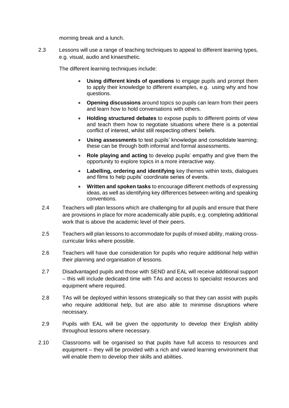morning break and a lunch.

2.3 Lessons will use a range of teaching techniques to appeal to different learning types, e.g. visual, audio and kinaesthetic.

The different learning techniques include:

- **Using different kinds of questions** to engage pupils and prompt them to apply their knowledge to different examples, e.g. using why and how questions.
- **Opening discussions** around topics so pupils can learn from their peers and learn how to hold conversations with others.
- **Holding structured debates** to expose pupils to different points of view and teach them how to negotiate situations where there is a potential conflict of interest, whilst still respecting others' beliefs.
- **Using assessments** to test pupils' knowledge and consolidate learning; these can be through both informal and formal assessments.
- **Role playing and acting** to develop pupils' empathy and give them the opportunity to explore topics in a more interactive way.
- **Labelling, ordering and identifying** key themes within texts, dialogues and films to help pupils' coordinate series of events.
- **Written and spoken tasks** to encourage different methods of expressing ideas, as well as identifying key differences between writing and speaking conventions.
- 2.4 Teachers will plan lessons which are challenging for all pupils and ensure that there are provisions in place for more academically able pupils, e.g. completing additional work that is above the academic level of their peers.
- 2.5 Teachers will plan lessons to accommodate for pupils of mixed ability, making crosscurricular links where possible.
- 2.6 Teachers will have due consideration for pupils who require additional help within their planning and organisation of lessons.
- 2.7 Disadvantaged pupils and those with SEND and EAL will receive additional support – this will include dedicated time with TAs and access to specialist resources and equipment where required.
- 2.8 TAs will be deployed within lessons strategically so that they can assist with pupils who require additional help, but are also able to minimise disruptions where necessary.
- 2.9 Pupils with EAL will be given the opportunity to develop their English ability throughout lessons where necessary.
- 2.10 Classrooms will be organised so that pupils have full access to resources and equipment – they will be provided with a rich and varied learning environment that will enable them to develop their skills and abilities.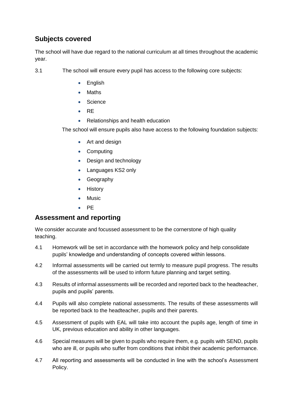# **Subjects covered**

The school will have due regard to the national curriculum at all times throughout the academic year.

3.1 The school will ensure every pupil has access to the following core subjects:

- English
- Maths
- **Science**
- $\bullet$  RE
- Relationships and health education

The school will ensure pupils also have access to the following foundation subjects:

- Art and design
- Computing
- Design and technology
- Languages KS2 only
- Geography
- History
- Music
- $\bullet$  PE

# **Assessment and reporting**

We consider accurate and focussed assessment to be the cornerstone of high quality teaching.

- 4.1 Homework will be set in accordance with the homework policy and help consolidate pupils' knowledge and understanding of concepts covered within lessons.
- 4.2 Informal assessments will be carried out termly to measure pupil progress. The results of the assessments will be used to inform future planning and target setting.
- 4.3 Results of informal assessments will be recorded and reported back to the headteacher, pupils and pupils' parents.
- 4.4 Pupils will also complete national assessments. The results of these assessments will be reported back to the headteacher, pupils and their parents.
- 4.5 Assessment of pupils with EAL will take into account the pupils age, length of time in UK, previous education and ability in other languages.
- 4.6 Special measures will be given to pupils who require them, e.g. pupils with SEND, pupils who are ill, or pupils who suffer from conditions that inhibit their academic performance.
- 4.7 All reporting and assessments will be conducted in line with the school's Assessment Policy.